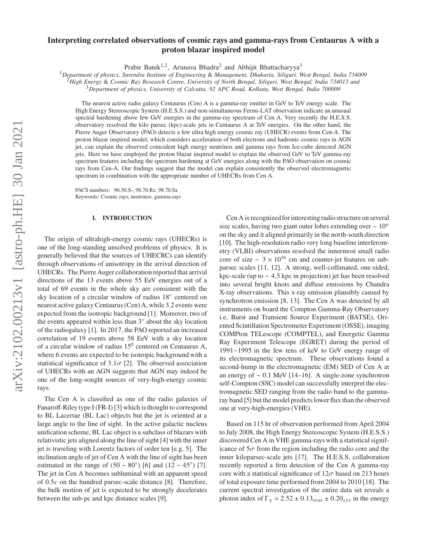# arXiv:2102.00213v1 [astro-ph.HE] 30 Jan 2021 arXiv:2102.00213v1 [astro-ph.HE] 30 Jan 2021

# **Interpreting correlated observations of cosmic rays and gamma-rays from Centaurus A with a proton blazar inspired model**

Prabir Banik<sup>1,2</sup>, Arunava Bhadra<sup>2</sup> and Abhijit Bhattacharyya<sup>3</sup>

<sup>1</sup>*Department of physics, Surendra Institute of Engineering* & *Management, Dhukuria, Siliguri, West Bengal, India 734009*

<sup>2</sup>*High Energy* & *Cosmic Ray Research Centre, University of North Bengal, Siliguri, West Bengal, India 734013 and*

<sup>3</sup>*Department of physics, University of Calcutta, 92 APC Road, Kolkata, West Bengal, India 700009*

The nearest active radio galaxy Centaurus (Cen) A is a gamma-ray emitter in GeV to TeV energy scale. The High Energy Stereoscopic System (H.E.S.S.) and non-simultaneous Fermi-LAT observation indicate an unusual spectral hardening above few GeV energies in the gamma-ray spectrum of Cen A. Very recently the H.E.S.S. observatory resolved the kilo parsec (kpc)-scale jets in Centaurus A at TeV energies. On the other hand, the Pierre Auger Observatory (PAO) detects a few ultra high energy cosmic ray (UHECR) events from Cen-A. The proton blazar inspired model, which considers acceleration of both electrons and hadronic cosmic rays in AGN jet, can explain the observed coincident high energy neutrinos and gamma rays from Ice-cube detected AGN jets. Here we have employed the proton blazar inspired model to explain the observed GeV to TeV gamma-ray spectrum features including the spectrum hardening at GeV energies along with the PAO observation on cosmic rays from Cen-A. Our findings suggest that the model can explain consistently the observed electromagnetic spectrum in combination with the appropriate number of UHECRs from Cen A.

PACS numbers: 96.50.S-, 98.70.Rz, 98.70.Sa Keywords: Cosmic rays, neutrinos, gamma-rays

# **I. INTRODUCTION**

The origin of ultrahigh-energy cosmic rays (UHECRs) is one of the long-standing unsolved problems of physics. It is generally believed that the sources of UHECRCs can identify through observations of anisotropy in the arrival direction of UHECRs. The Pierre Auger collaboration reported that arrival directions of the 13 events above 55 EeV energies out of a total of 69 events in the whole sky are consistent with the sky location of a circular window of radius 18◦ centered on nearest active galaxy Centaurus (Cen) A, while 3.2 events were expected from the isotropic background [1]. Moreover, two of the events appeared within less than 3◦ about the sky location of the radiogalaxy [1]. In 2017, the PAO reported an increased correlation of 19 events above 58 EeV with a sky location of a circular window of radius  $15^0$  centered on Centaurus A, where 6 events are expected to be isotropic background with a statistical significance of  $3.1\sigma$  [2]. The observed association of UHECRs with an AGN suggests that AGN may indeed be one of the long-sought sources of very-high-energy cosmic rays.

The Cen A is classified as one of the radio galaxies of Fanaroff-Riley type I (FR-I) [3] which is thought to correspond to BL Lacertae (BL Lac) objects but the jet is oriented at a large angle to the line of sight. In the active galactic nucleus unification scheme, BL Lac object is a subclass of blazars with relativistic jets aligned along the line of sight [4] with the inner jet is traveling with Lorentz factors of order ten [e.g. 5]. The inclination angle of jet of Cen A with the line of sight has been estimated in the range of  $(50 - 80°)$  [6] and  $(12 - 45°)$  [7]. The jet in Cen A becomes subluminal with an apparent speed of  $0.5c$  on the hundred parsec-scale distance [8]. Therefore, the bulk motion of jet is expected to be strongly decelerates between the sub-pc and kpc distance scales [9].

Cen A is recognized for interesting radio structure on several size scales, having two giant outer lobes extending over  $\sim 10^{\circ}$ on the sky and it aligned primarily in the north-south direction [10]. The high-resolution radio very long baseline interferometry (VLBI) observations resolved the innermost small radio core of size  $\sim 3 \times 10^{16}$  cm and counter-jet features on subparsec scales [11, 12]. A strong, well-collimated, one-sided, kpc-scale (up to  $\sim$  4.5 kpc in projection) jet has been resolved into several bright knots and diffuse emissions by Chandra X-ray observations. This x-ray emission plausibly caused by synchrotron emission [8, 13]. The Cen A was detected by all instruments on board the Compton Gamma-Ray Observatory i.e, Burst and Transient Source Experiment (BATSE), Oriented Scintillation Spectrometer Experiment (OSSE), imaging COMPton TELescope (COMPTEL), and Energetic Gamma Ray Experiment Telescope (EGRET) during the period of 1991−1995 in the few tens of keV to GeV energy range of its electromagnetic spectrum. These observations found a second-hump in the electromagnetic (EM) SED of Cen A at an energy of ∼ 0.1 MeV [14–16]. A single-zone synchrotron self-Compton (SSC) model can successfully interpret the electromagnetic SED ranging from the radio band to the gammaray band [5] but the model predicts lower flux than the observed one at very-high-energies (VHE).

Based on 115 hr of observation performed from April 2004 to July 2008, the High Energy Stereoscopic System (H.E.S.S.) discovered Cen A in VHE gamma-rays with a statistical significance of  $5\sigma$  from the region including the radio core and the inner kiloparsec-scale jets [17]. The H.E.S.S. collaboration recently reported a firm detection of the Cen A gamma-ray core with a statistical significance of  $12\sigma$  based on 213 hours of total exposure time performed from 2004 to 2010 [18]. The current spectral investigation of the entire data set reveals a photon index of  $\Gamma_{\gamma} = 2.52 \pm 0.13_{stat} \pm 0.20_{sys}$  in the energy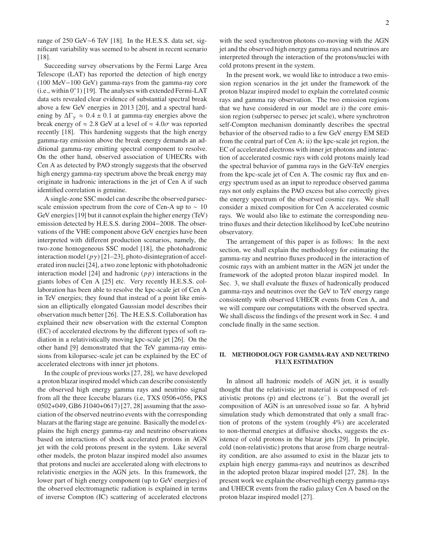range of 250 GeV−6 TeV [18]. In the H.E.S.S. data set, significant variability was seemed to be absent in recent scenario [18].

Succeeding survey observations by the Fermi Large Area Telescope (LAT) has reported the detection of high energy (100 MeV−100 GeV) gamma-rays from the gamma-ray core (i.e., within 0◦ . 1) [19]. The analyses with extended Fermi-LAT data sets revealed clear evidence of substantial spectral break above a few GeV energies in 2013 [20], and a spectral hardening by  $\Delta\Gamma_{\gamma} \approx 0.4 \pm 0.1$  at gamma-ray energies above the break energy of  $\approx 2.8$  GeV at a level of  $\approx 4.0\sigma$  was reported recently [18]. This hardening suggests that the high energy gamma-ray emission above the break energy demands an additional gamma-ray emitting spectral component to resolve. On the other hand, observed association of UHECRs with Cen A as detected by PAO strongly suggests that the observed high energy gamma-ray spectrum above the break energy may originate in hadronic interactions in the jet of Cen A if such identified correlation is genuine.

A single-zone SSC model can describe the observed parsecscale emission spectrum from the core of Cen-A up to  $\sim 10$ GeV energies [19] but it cannot explain the higher energy (TeV) emission detected by H.E.S.S. during 2004−2008. The observations of the VHE component above GeV energies have been interpreted with different production scenarios, namely, the two-zone homogeneous SSC model [18], the photohadronic interaction model  $(p\gamma)$  [21–23], photo-disintegration of accelerated iron nuclei [24], a two zone leptonic with photohadronic interaction model [24] and hadronic  $(p p)$  interactions in the giants lobes of Cen A [25] etc. Very recently H.E.S.S. collaboration has been able to resolve the kpc-scale jet of Cen A in TeV energies; they found that instead of a point like emission an elliptically elongated Gaussian model describes their observation much better [26]. The H.E.S.S. Collaboration has explained their new observation with the external Compton (EC) of accelerated electrons by the different types of soft radiation in a relativistically moving kpc-scale jet [26]. On the other hand [9] demonstrated that the TeV gamma-ray emissions from kiloparsec-scale jet can be explained by the EC of accelerated electrons with inner jet photons.

In the couple of previous works [27, 28], we have developed a proton blazar inspired model which can describe consistently the observed high energy gamma rays and neutrino signal from all the three Icecube blazars (i.e, TXS 0506+056, PKS 0502+049, GB6 J1040+0617) [27, 28] assuming that the association of the observed neutrino events with the corresponding blazars at the flaring stage are genuine. Basically the model explains the high energy gamma-ray and neutrino observations based on interactions of shock accelerated protons in AGN jet with the cold protons present in the system. Like several other models, the proton blazar inspired model also assumes that protons and nuclei are accelerated along with electrons to relativistic energies in the AGN jets. In this framework, the lower part of high energy component (up to GeV energies) of the observed electromagnetic radiation is explained in terms of inverse Compton (IC) scattering of accelerated electrons

with the seed synchrotron photons co-moving with the AGN jet and the observed high energy gamma rays and neutrinos are interpreted through the interaction of the protons/nuclei with cold protons present in the system.

In the present work, we would like to introduce a two emission region scenarios in the jet under the framework of the proton blazar inspired model to explain the correlated cosmic rays and gamma ray observation. The two emission regions that we have considered in our model are i) the core emission region (subpersec to persec jet scale), where synchrotron self-Compton mechanism dominantly describes the spectral behavior of the observed radio to a few GeV energy EM SED from the central part of Cen A; ii) the kpc-scale jet region, the EC of accelerated electrons with inner jet photons and interaction of accelerated cosmic rays with cold protons mainly lead the spectral behavior of gamma rays in the GeV-TeV energies from the kpc-scale jet of Cen A. The cosmic ray flux and energy spectrum used as an input to reproduce observed gamma rays not only explains the PAO excess but also correctly gives the energy spectrum of the observed cosmic rays. We shall consider a mixed composition for Cen A accelerated cosmic rays. We would also like to estimate the corresponding neutrino fluxes and their detection likelihood by IceCube neutrino observatory.

The arrangement of this paper is as follows: In the next section, we shall explain the methodology for estimating the gamma-ray and neutrino fluxes produced in the interaction of cosmic rays with an ambient matter in the AGN jet under the framework of the adopted proton blazar inspired model. In Sec. 3, we shall evaluate the fluxes of hadronically produced gamma-rays and neutrinos over the GeV to TeV energy range consistently with observed UHECR events from Cen A, and we will compare our computations with the observed spectra. We shall discuss the findings of the present work in Sec. 4 and conclude finally in the same section.

# **II. METHODOLOGY FOR GAMMA-RAY AND NEUTRINO FLUX ESTIMATION**

In almost all hadronic models of AGN jet, it is usually thought that the relativistic jet material is composed of relativistic protons (p) and electrons (e<sup>−</sup> ). But the overall jet composition of AGN is an unresolved issue so far. A hybrid simulation study which demonstrated that only a small fraction of protons of the system (roughly 4%) are accelerated to non-thermal energies at diffusive shocks, suggests the existence of cold protons in the blazar jets [29]. In principle, cold (non-relativistic) protons that arose from charge neutrality condition, are also assumed to exist in the blazar jets to explain high energy gamma-rays and neutrinos as described in the adopted proton blazar inspired model [27, 28]. In the present work we explain the observed high energy gamma-rays and UHECR events from the radio galaxy Cen A based on the proton blazar inspired model [27].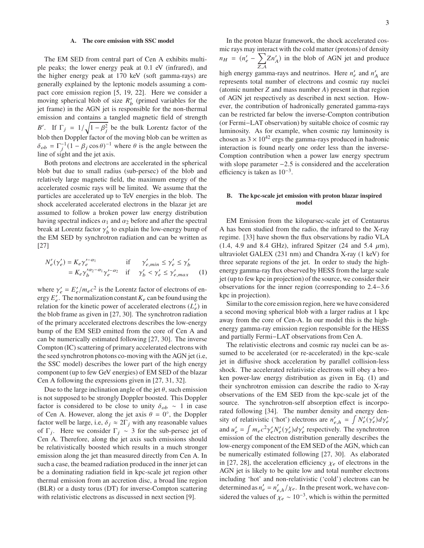# **A. The core emission with SSC model**

The EM SED from central part of Cen A exhibits multiple peaks; the lower energy peak at 0.1 eV (infrared), and the higher energy peak at 170 keV (soft gamma-rays) are generally explained by the leptonic models assuming a compact core emission region [5, 19, 22]. Here we consider a moving spherical blob of size  $R'_{b}$  (primed variables for the jet frame) in the AGN jet is responsible for the non-thermal emission and contains a tangled magnetic field of strength B'. If  $\Gamma_j = 1/\sqrt{1-\beta_j^2}$  be the bulk Lorentz factor of the blob then Doppler factor of the moving blob can be written as  $\delta_{ob} = \Gamma_j^{-1} (1 - \beta_j \cos \theta)^{-1}$  where  $\theta$  is the angle between the line of sight and the jet axis.

Both protons and electrons are accelerated in the spherical blob but due to small radius (sub-persec) of the blob and relatively large magnetic field, the maximum energy of the accelerated cosmic rays will be limited. We assume that the particles are accelerated up to TeV energies in the blob. The shock accelerated accelerated electrons in the blazar jet are assumed to follow a broken power law energy distribution having spectral indices  $\alpha_1$  and  $\alpha_2$  before and after the spectral break at Lorentz factor  $\gamma'_b$  to explain the low-energy bump of the EM SED by synchrotron radiation and can be written as [27]

$$
N'_e(\gamma'_e) = K_e \gamma'_e^{-\alpha_1} \quad \text{if} \quad \gamma'_{e, min} \le \gamma'_e \le \gamma'_b
$$
  
=  $K_e \gamma'_b^{\gamma_2 - \alpha_1} \gamma'_e^{-\alpha_2} \quad \text{if} \quad \gamma'_b < \gamma'_e \le \gamma'_{e, max}$  (1)

where  $\gamma'_e = E'_e / m_e c^2$  is the Lorentz factor of electrons of energy  $E_e'$ . The normalization constant  $K_e$  can be found using the relation for the kinetic power of accelerated electrons  $(L'_e)$  in the blob frame as given in [27, 30]. The synchrotron radiation of the primary accelerated electrons describes the low-energy bump of the EM SED emitted from the core of Cen A and can be numerically estimated following [27, 30]. The inverse Compton (IC) scattering of primary accelerated electrons with the seed synchrotron photons co-moving with the AGN jet (i.e, the SSC model) describes the lower part of the high energy component (up to few GeV energies) of EM SED of the blazar Cen A following the expressions given in [27, 31, 32].

Due to the large inclination angle of the jet  $\theta$ , such emission is not supposed to be strongly Doppler boosted. This Doppler factor is considered to be close to unity  $\delta_{ob} \sim 1$  in case of Cen A. However, along the jet axis  $\theta = 0^{\circ}$ , the Doppler factor well be large, i.e,  $\delta_i \approx 2\Gamma_i$  with any reasonable values of  $\Gamma_j$ . Here we consider  $\Gamma_j \sim 3$  for the sub-persec jet of Cen A. Therefore, along the jet axis such emissions should be relativistically boosted which results in a much stronger emission along the jet than measured directly from Cen A. In such a case, the beamed radiation produced in the inner jet can be a dominating radiation field in kpc-scale jet region other thermal emission from an accretion disc, a broad line region (BLR) or a dusty torus (DT) for inverse-Compton scattering with relativistic electrons as discussed in next section [9].

In the proton blazar framework, the shock accelerated cosmic rays may interact with the cold matter (protons) of density  $n_H = (n'_e - \sum$  $Z,A$  $Zn'_{A}$ ) in the blob of AGN jet and produce high energy gamma-rays and neutrinos. Here  $n'_e$  and  $n'_A$  are represents total number of electrons and cosmic ray nuclei (atomic number  $Z$  and mass number  $A$ ) present in that region of AGN jet respectively as described in next section. However, the contribution of hadronically generated gamma-rays can be restricted far below the inverse-Compton contribution (or Fermi−LAT observation) by suitable choice of cosmic ray luminosity. As for example, when cosmic ray luminosity is chosen as  $3 \times 10^{42}$  ergs the gamma-rays produced in hadronic interaction is found nearly one order less than the inverse-Comption contribution when a power law energy spectrum with slope parameter −2.5 is considered and the acceleration efficiency is taken as  $10^{-3}$ .

# **B. The kpc-scale jet emission with proton blazar inspired model**

EM Emission from the kiloparsec-scale jet of Centaurus A has been studied from the radio, the infrared to the X-ray regime. [33] have shown the flux observations by radio VLA  $(1.4, 4.9 \text{ and } 8.4 \text{ GHz})$ , infrared Spitzer  $(24 \text{ and } 5.4 \text{ }\mu\text{m})$ , ultraviolet GALEX (231 nm) and Chandra X-ray (1 keV) for three separate regions of the jet. In order to study the highenergy gamma-ray flux observed by HESS from the large scale jet (up to few kpc in projection) of the source, we consider their observations for the inner region (corresponding to 2.4−3.6 kpc in projection).

Similar to the core emission region, here we have considered a second moving spherical blob with a larger radius at 1 kpc away from the core of Cen-A. In our model this is the highenergy gamma-ray emission region responsible for the HESS and partially Fermi−LAT observations from Cen A.

The relativistic electrons and cosmic ray nuclei can be assumed to be accelerated (or re-accelerated) in the kpc-scale jet in diffusive shock acceleration by parallel collision-less shock. The accelerated relativistic electrons will obey a broken power-law energy distribution as given in Eq. (1) and their synchrotron emission can describe the radio to X-ray observations of the EM SED from the kpc-scale jet of the source. The synchrotron-self absorption effect is incorporated following [34]. The number density and energy density of relativistic ('hot') electrons are  $n'_{e,h} = \int N'_e(\gamma'_e) d\gamma'_e$ and  $u'_e = \int m_e c^2 \gamma'_e N'_e (\gamma'_e) d\gamma'_e$  respectively. The synchrotron emission of the electron distribution generally describes the low-energy component of the EM SED of the AGN, which can be numerically estimated following [27, 30]. As elaborated in [27, 28], the acceleration efficiency  $\chi_e$  of electrons in the AGN jet is likely to be quite low and total number electrons including 'hot' and non-relativistic ('cold') electrons can be determined as  $n'_e = n'_{e,h}/\chi_e$ . In the present work, we have considered the values of  $\chi_e \sim 10^{-3}$ , which is within the permitted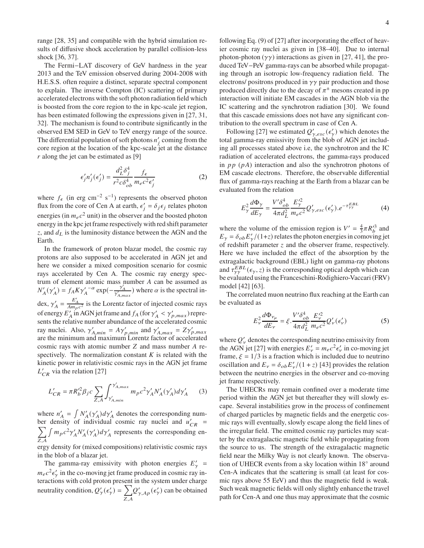range [28, 35] and compatible with the hybrid simulation results of diffusive shock acceleration by parallel collision-less shock [36, 37].

The Fermi−LAT discovery of GeV hardness in the year 2013 and the TeV emission observed during 2004-2008 with H.E.S.S. often require a distinct, separate spectral component to explain. The inverse Compton (IC) scattering of primary accelerated electrons with the soft photon radiation field which is boosted from the core region to the in kpc-scale jet region, has been estimated following the expressions given in [27, 31, 32]. The mechanism is found to contribute significantly in the observed EM SED in GeV to TeV energy range of the source. The differential population of soft photons  $n'_j$  coming from the core region at the location of the kpc-scale jet at the distance  $r$  along the jet can be estimated as [9]

$$
\epsilon'_j n'_j(\epsilon'_j) = \frac{d_L^2 \delta_j^4}{r^2 c \delta_{ob}^4} \frac{f_\epsilon}{m_e c^2 \epsilon'_j}
$$
 (2)

where  $f_{\epsilon}$  (in erg cm<sup>-2</sup> s<sup>-1</sup>) represents the observed photon flux from the core of Cen A at earth,  $\epsilon'_j = \delta_j \epsilon_j$  relates photon energies (in  $m_e c^2$  unit) in the observer and the boosted photon energy in the kpc jet frame respectively with red shift parameter z, and  $d<sub>L</sub>$  is the luminosity distance between the AGN and the Earth.

In the framework of proton blazar model, the cosmic ray protons are also supposed to be accelerated in AGN jet and here we consider a mixed composition scenario for cosmic rays accelerated by Cen A. The cosmic ray energy spectrum of element atomic mass number A can be assumed as  $N'_A(\gamma'_A) = f_A K \gamma'_A^{-\alpha} \exp(-\frac{\gamma'_A}{\gamma'_{A,\text{max}}})$  where  $\alpha$  is the spectral index,  $\gamma'_{A} = \frac{E'_{A}}{Am_{p}c^{2}}$  is the Lorentz factor of injected cosmic rays of energy  $E'_A$  in AGN jet frame and  $f_A$  (for  $\gamma'_A < \gamma'_{p,max}$ ) represents the relative number abundance of the accelerated cosmic ray nuclei. Also,  $\gamma'_{A,min} = A\gamma'_{p,min}$  and  $\gamma'_{A,max} = Z\gamma'_{p,max}$ <br>are the minimum and maximum Lorentz factor of accelerated cosmic rays with atomic number  $Z$  and mass number  $A$  respectively. The normalization constant  $K$  is related with the kinetic power in relativistic cosmic rays in the AGN jet frame  $L'_{CR}$  via the relation [27]

$$
L'_{CR} = \pi R'^{2}_{b} \beta_{j} c \sum_{Z,A} \int_{\gamma'_{A,min}}^{\gamma'_{A,max}} m_{p} c^{2} \gamma'_{A} N'_{A}(\gamma'_{A}) d\gamma'_{A}
$$
 (3)

where  $n'_{A} = \int N'_{A}(\gamma'_{A}) d\gamma'_{A}$  denotes the corresponding number density of individual cosmic ray nuclei and  $u'_{CR}$  =<br>  $\sum f m_{\rm g} c^2 v' N'_{\rm s} (v'_{\rm s}) d v'_{\rm s}$  represents the corresponding en- $Z,A$  $\int m_p c^2 \gamma'_A N'_A(\gamma'_A) d\gamma'_A$  represents the corresponding energy density for (mixed compositions) relativistic cosmic rays in the blob of a blazar jet.

The gamma-ray emissivity with photon energies  $E'_{\gamma}$  =  $m_ec^2\epsilon'_\gamma$  in the co-moving jet frame produced in cosmic ray interactions with cold proton present in the system under charge neutrality condition,  $Q'_{\gamma}(\epsilon'_{\gamma}) = \sum_{\gamma}$  $Z,A$  $Q'_{\gamma, Ap}(\epsilon'_{\gamma})$  can be obtained following Eq. (9) of [27] after incorporating the effect of heavier cosmic ray nuclei as given in [38–40]. Due to internal photon-photon  $(\gamma \gamma)$  interactions as given in [27, 41], the produced TeV−PeV gamma-rays can be absorbed while propagating through an isotropic low-frequency radiation field. The electrons/ positrons produced in  $\gamma\gamma$  pair production and those produced directly due to the decay of  $\pi^{\pm}$  mesons created in pp interaction will initiate EM cascades in the AGN blob via the IC scattering and the synchrotron radiation [30]. We found that this cascade emissions does not have any significant contribution to the overall spectrum in case of Cen A.

Following [27] we estimated  $Q'_{\gamma,esc}(\epsilon'_{\gamma})$  which denotes the total gamma-ray emissivity from the blob of AGN jet including all processes stated above i.e, the synchrotron and the IC radiation of accelerated electrons, the gamma-rays produced in  $pp$  ( $pA$ ) interaction and also the synchrotron photons of EM cascade electrons. Therefore, the observable differential flux of gamma-rays reaching at the Earth from a blazar can be evaluated from the relation

$$
E_{\gamma}^2 \frac{d\Phi_{\gamma}}{dE_{\gamma}} = \frac{V'\delta_{ob}^4}{4\pi d_L^2} \frac{E_{\gamma}^2}{m_e c^2} Q_{\gamma,esc}'(\epsilon_{\gamma}').e^{-\tau_{\gamma\gamma}^{EBL}}
$$
(4)

where the volume of the emission region is  $V' = \frac{4}{3}\pi R_b'^3$  and  $E_{\gamma} = \delta_{ob} E_{\gamma}^{\prime}/(1+z)$  relates the photon energies in comoving jet of redshift parameter  $\zeta$  and the observer frame, respectively. Here we have included the effect of the absorption by the extragalactic background (EBL) light on gamma-ray photons and  $\tau_{\gamma\gamma}^{EBL}(\epsilon_{\gamma}, z)$  is the corresponding optical depth which can be evaluated using the Franceschini-Rodighiero-Vaccari (FRV) model [42] [63].

The correlated muon neutrino flux reaching at the Earth can be evaluated as

$$
E_{\nu}^2 \frac{d\Phi_{\nu_{\mu}}}{dE_{\nu}} = \xi \cdot \frac{V'\delta_{ob}^4}{4\pi d_L^2} \frac{E_{\nu}^{\prime 2}}{m_e c^2} Q_{\nu}^{\prime}(\epsilon_{\nu}^{\prime})
$$
(5)

where  $Q'_{v}$  denotes the corresponding neutrino emissivity from the AGN jet [27] with energies  $E'_{v} = m_e c^2 \epsilon'_{v}$  in co-moving jet frame,  $\xi = 1/3$  is a fraction which is included due to neutrino oscillation and  $E_v = \delta_{ob} E_v' / (1 + z)$  [43] provides the relation between the neutrino energies in the observer and co-moving jet frame respectively.

The UHECRs may remain confined over a moderate time period within the AGN jet but thereafter they will slowly escape. Several instabilities grow in the process of confinement of charged particles by magnetic fields and the energetic cosmic rays will eventually, slowly escape along the field lines of the irregular field. The emitted cosmic ray particles may scatter by the extragalactic magnetic field while propagating from the source to us. The strength of the extragalactic magnetic field near the Milky Way is not clearly known. The observation of UHECR events from a sky location within 18° around Cen-A indicates that the scattering is small (at least for cosmic rays above 55 EeV) and thus the magnetic field is weak. Such weak magnetic fields will only slightly enhance the travel path for Cen-A and one thus may approximate that the cosmic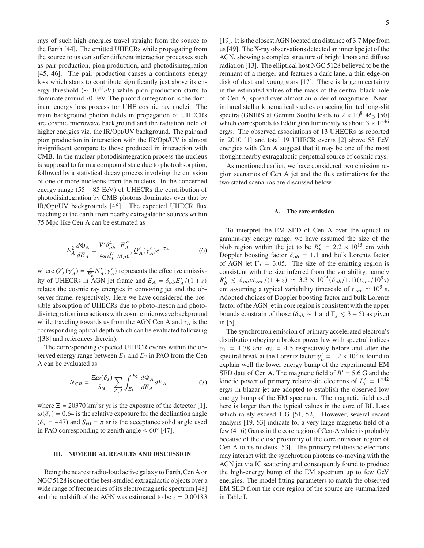rays of such high energies travel straight from the source to the Earth [44]. The emitted UHECRs while propagating from the source to us can suffer different interaction processes such as pair production, pion production, and photodisintegration [45, 46]. The pair production causes a continuous energy loss which starts to contribute significantly just above its energy threshold ( $\sim 10^{18} eV$ ) while pion production starts to dominate around 70 EeV. The photodisintegration is the dominant energy loss process for UHE cosmic ray nuclei. The main background photon fields in propagation of UHECRs are cosmic microwave background and the radiation field of higher energies viz. the IR/Opt/UV background. The pair and pion production in interaction with the IR/Opt/UV is almost insignificant compare to those produced in interaction with CMB. In the nuclear photodisintegration process the nucleus is supposed to form a compound state due to photoabsorption, followed by a statistical decay process involving the emission of one or more nucleons from the nucleus. In the concerned energy range (55 − 85 EeV) of UHECRs the contribution of photodisintegration by CMB photons dominates over that by IR/Opt/UV backgrounds [46]. The expected UHECR flux reaching at the earth from nearby extragalactic sources within 75 Mpc like Cen A can be estimated as

$$
E_A^2 \frac{d\Phi_A}{dE_A} = \frac{V'\delta_{ob}^4}{4\pi d_L^2} \frac{E_A'^2}{m_p c^2} Q_A'(\gamma_A') e^{-\tau_A} \tag{6}
$$

where  $Q'_A(\gamma'_A) = \frac{c}{R'_b} N'_A(\gamma'_A)$  represents the effective emissivity of UHECRs in AGN jet frame and  $E_A = \delta_{ob} E'_A / (1 + z)$ relates the cosmic ray energies in comoving jet and the observer frame, respectively. Here we have considered the possible absorption of UHECRs due to photo-meson and photodisintegration interactions with cosmic microwave background while traveling towards us from the AGN Cen A and  $\tau_A$  is the corresponding optical depth which can be evaluated following ([38] and references therein).

The corresponding expected UHECR events within the observed energy range between  $E_1$  and  $E_2$  in PAO from the Cen A can be evaluated as

$$
N_{CR} = \frac{\Xi \omega(\delta_s)}{S_{60}} \sum_{Z,A} \int_{E_1}^{E_2} \frac{d\Phi_A}{dE_A} dE_A \tag{7}
$$

where  $\Xi = 20370 \text{ km}^2 \text{sr}$  yr is the exposure of the detector [1],  $\omega(\delta_s) = 0.64$  is the relative exposure for the declination angle  $(\delta_s = -47)$  and  $S_{60} = \pi$  sr is the acceptance solid angle used in PAO corresponding to zenith angle  $\leq 60^{\circ}$  [47].

# **III. NUMERICAL RESULTS AND DISCUSSION**

Being the nearest radio-loud active galaxy to Earth,Cen A or NGC 5128 is one of the best-studied extragalactic objects over a wide range of frequencies of its electromagnetic spectrum [48] and the redshift of the AGN was estimated to be  $z = 0.00183$ 

[19]. It is the closest AGN located at a distance of 3.7 Mpc from us [49]. The X-ray observations detected an inner kpc jet of the AGN, showing a complex structure of bright knots and diffuse radiation [13]. The elliptical host NGC 5128 believed to be the remnant of a merger and features a dark lane, a thin edge-on disk of dust and young stars [17]. There is large uncertainty in the estimated values of the mass of the central black hole of Cen A, spread over almost an order of magnitude. Nearinfrared stellar kinematical studies on seeing limited long-slit spectra (GNIRS at Gemini South) leads to  $2 \times 10^8$   $M_{\odot}$  [50] which corresponds to Eddington luminosity is about  $3 \times 10^{46}$ erg/s. The observed associations of 13 UHECRs as reported in 2010 [1] and total 19 UHECR events [2] above 55 EeV energies with Cen A suggest that it may be one of the most thought nearby extragalactic perpetual source of cosmic rays.

As mentioned earlier, we have considered two emission region scenarios of Cen A jet and the flux estimations for the two stated scenarios are discussed below.

### **A. The core emission**

To interpret the EM SED of Cen A over the optical to gamma-ray energy range, we have assumed the size of the blob region within the jet to be  $R'_b = 2.2 \times 10^{15}$  cm with Doppler boosting factor  $\delta_{ob} = 1.1$  and bulk Lorentz factor of AGN jet  $\Gamma_j = 3.05$ . The size of the emitting region is consistent with the size inferred from the variability, namely  $R'_b \leq \delta_{ob}ct_{ver}/(1+z) \simeq 3.3 \times 10^{15} (\delta_{ob}/1.1) (t_{ver}/10^5 s)$ cm assuming a typical variability timescale of  $t_{ver} \approx 10^5$  s. Adopted choices of Doppler boosting factor and bulk Lorentz factor of the AGN jet in core region is consistent with the upper bounds constrain of those ( $\delta_{ob} \sim 1$  and  $\Gamma_j \leq 3 - 5$ ) as given in [5].

The synchrotron emission of primary accelerated electron's distribution obeying a broken power law with spectral indices  $\alpha_1$  = 1.78 and  $\alpha_2$  = 4.5 respectively before and after the spectral break at the Lorentz factor  $\gamma'_b = 1.2 \times 10^3$  is found to explain well the lower energy bump of the experimental EM SED data of Cen A. The magnetic field of  $B' = 5.6$  G and the kinetic power of primary relativistic electrons of  $L'_e = 10^{42}$ erg/s in blazar jet are adopted to establish the observed low energy bump of the EM spectrum. The magnetic field used here is larger than the typical values in the core of BL Lacs which rarely exceed 1 G [51, 52]. However, several recent analysis [19, 53] indicate for a very large magnetic field of a few (4−6) Gauss in the core region of Cen-A which is probably because of the close proximity of the core emission region of Cen-A to its nucleus [53]. The primary relativistic electrons may interact with the synchrotron photons co-moving with the AGN jet via IC scattering and consequently found to produce the high-energy bump of the EM spectrum up to few GeV energies. The model fitting parameters to match the observed EM SED from the core region of the source are summarized in Table I.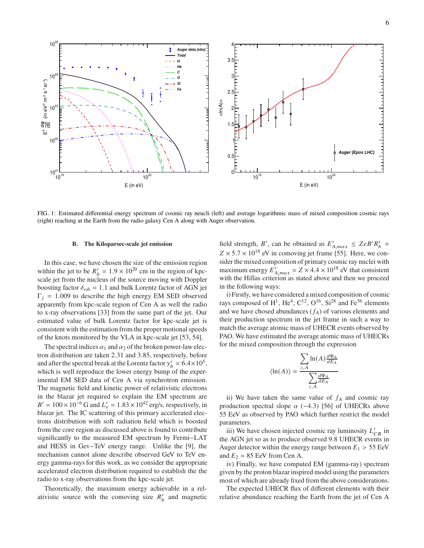

FIG. 1: Estimated differential energy spectrum of cosmic ray neucli (left) and average logarithmic mass of mixed composition cosmic rays (right) reaching at the Earth from the radio galaxy Cen A along with Auger observation.

# **B. The Kiloparsec-scale jet emission**

In this case, we have chosen the size of the emission region within the jet to be  $R'_b = 1.9 \times 10^{20}$  cm in the region of kpcscale jet from the nucleus of the source moving with Doppler boosting factor  $\delta_{ob} = 1.1$  and bulk Lorentz factor of AGN jet  $\Gamma_i = 1.009$  to describe the high energy EM SED observed apparently from kpc-scale region of Cen A as well the radio to x-ray observations [33] from the same part of the jet. Our estimated value of bulk Lorentz factor for kpc-scale jet is consistent with the estimation from the proper motional speeds of the knots monitored by the VLA in kpc-scale jet [53, 54].

The spectral indices  $\alpha_1$  and  $\alpha_2$  of the broken power-law electron distribution are taken 2.31 and 3.85, respectively, before and after the spectral break at the Lorentz factor  $\gamma'_b = 6.4 \times 10^5$ , which is well reproduce the lower energy bump of the experimental EM SED data of Cen A via synchrotron emission. The magnetic field and kinetic power of relativistic electrons in the blazar jet required to explain the EM spectrum are  $B' = 100 \times 10^{-6}$  G and  $L'_e = 1.83 \times 10^{42}$  erg/s, respectively, in blazar jet. The IC scattering of this primary accelerated electrons distribution with soft radiation field which is boosted from the core region as discussed above is found to contribute significantly to the measured EM spectrum by Fermi−LAT and HESS in Gev−TeV energy range. Unlike the [9], the mechanism cannot alone describe observed GeV to TeV energy gamma-rays for this work, as we consider the appropriate accelerated electron distribution required to establish the the radio to x-ray observations from the kpc-scale jet.

Theoretically, the maximum energy achievable in a relativistic source with the comoving size  $R'_b$  and magnetic

field strength, B', can be obtained as  $E'_{A,max} \leq ZeB'R'_b \approx$  $Z \times 5.7 \times 10^{18}$  eV in comoving jet frame [55]. Here, we consider the mixed composition of primary cosmic ray nuclei with maximum energy  $E'_{A,max} = Z \times 4.4 \times 10^{18}$  eV that consistent with the Hillas criterion as stated above and then we proceed in the following ways:

i) Firstly, we have considered a mixed composition of cosmic rays composed of H<sup>1</sup>, He<sup>4</sup>, C<sup>12</sup>, O<sup>16</sup>, Si<sup>28</sup> and Fe<sup>56</sup> elements and we have chosed abundances  $(f_A)$  of various elements and their production spectrum in the jet frame in such a way to match the average atomic mass of UHECR events observed by PAO. We have estimated the average atomic mass of UHECRs for the mixed composition through the expression

$$
\langle \ln(A) \rangle = \frac{\sum_{z,A} \ln(A) \frac{d\Phi_A}{dE_A}}{\sum_{z,A} \frac{d\Phi_A}{dE_A}}
$$

ii) We have taken the same value of  $f_A$  and cosmic ray production spectral slope  $\alpha$  (−4.3) [56] of UHECRs above 55 EeV as observed by PAO which further restrict the model parameters.

iii) We have chosen injected cosmic ray luminosity  $L'_{CR}$  in the AGN jet so as to produce observed 9.8 UHECR events in Auger detector within the energy range between  $E_1 > 55$  EeV and  $E_2 = 85$  EeV from Cen A.

iv) Finally, we have computed EM (gamma-ray) spectrum given by the proton blazar inspired model using the parameters most of which are already fixed from the above considerations.

The expected UHECR flux of different elements with their relative abundance reaching the Earth from the jet of Cen A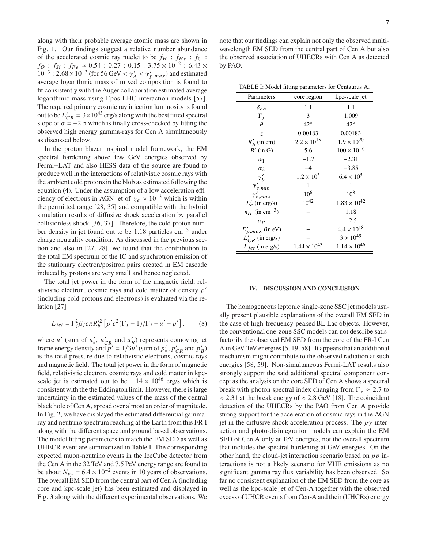along with their probable average atomic mass are shown in Fig. 1. Our findings suggest a relative number abundance of the accelerated cosmic ray nuclei to be  $f_H$  :  $f_{He}$  :  $f_C$  :  $f_O$  :  $f_{Si}$  :  $f_{Fe} \approx 0.54$  : 0.27 : 0.15 : 3.75  $\times$  10<sup>-2</sup> : 6.43  $\times$  $10^{-3}$ :  $2.68 \times 10^{-3}$  (for 56 GeV <  $\gamma'_{A}$  <  $\gamma'_{p,max}$ ) and estimated average logarithmic mass of mixed composition is found to fit consistently with the Auger collaboration estimated average logarithmic mass using Epos LHC interaction models [57]. The required primary cosmic ray injection luminosity is found out to be  $L'_{CR} = 3 \times 10^{45}$  erg/s along with the best fitted spectral slope of  $\alpha = -2.5$  which is finally cross-checked by fitting the observed high energy gamma-rays for Cen A simultaneously as discussed below.

In the proton blazar inspired model framework, the EM spectral hardening above few GeV energies observed by Fermi−LAT and also HESS data of the source are found to produce well in the interactions of relativistic cosmic rays with the ambient cold protons in the blob as estimated following the equation (4). Under the assumption of a low acceleration efficiency of electrons in AGN jet of  $\chi_e \approx 10^{-3}$  which is within the permitted range [28, 35] and compatible with the hybrid simulation results of diffusive shock acceleration by parallel collisionless shock [36, 37]. Therefore, the cold proton number density in jet found out to be 1.18 particles cm−<sup>3</sup> under charge neutrality condition. As discussed in the previous section and also in [27, 28], we found that the contribution to the total EM spectrum of the IC and synchrotron emission of the stationary electron/positron pairs created in EM cascade induced by protons are very small and hence neglected.

The total jet power in the form of the magnetic field, relativistic electron, cosmic rays and cold matter of density  $\rho'$ (including cold protons and electrons) is evaluated via the relation [27]

$$
L_{jet} = \Gamma_j^2 \beta_j c \pi R_b'^2 \left[ \rho' c^2 (\Gamma_j - 1) / \Gamma_j + u' + p' \right].
$$
 (8)

where  $u'$  (sum of  $u'_e$ ,  $u'_{CR}$  and  $u'_B$ ) represents comoving jet frame energy density and  $p' = 1/3u'$  (sum of  $p'_e$ ,  $p'_{CR}$  and  $p'_B$ ) is the total pressure due to relativistic electrons, cosmic rays and magnetic field. The total jet power in the form of magnetic field, relativistic electron, cosmic rays and cold matter in kpcscale jet is estimated out to be  $1.14 \times 10^{46}$  erg/s which is consistent with the the Eddington limit. However, there is large uncertainty in the estimated values of the mass of the central black hole of Cen A, spread over almost an order of magnitude. In Fig. 2, we have displayed the estimated differential gammaray and neutrino spectrum reaching at the Earth from this FR-I along with the different space and ground based observations. The model fitting parameters to match the EM SED as well as UHECR event are summarized in Table I. The corresponding expected muon-neutrino events in the IceCube detector from the Cen A in the 32 TeV and 7.5 PeV energy range are found to be about  $N_{\nu_\mu} = 6.4 \times 10^{-2}$  events in 10 years of observations. The overall EM SED from the central part of Cen A (including core and kpc-scale jet) has been estimated and displayed in Fig. 3 along with the different experimental observations. We

note that our findings can explain not only the observed multiwavelength EM SED from the central part of Cen A but also the observed association of UHECRs with Cen A as detected by PAO.

TABLE I: Model fitting parameters for Centaurus A.

| Parameters                   | core region           | kpc-scale jet         |
|------------------------------|-----------------------|-----------------------|
| $\delta_{ob}$                | 1.1                   | 1.1                   |
| $\Gamma_i$                   | 3                     | 1.009                 |
| $\theta$                     | $42^{\circ}$          | $42^\circ$            |
| Z.                           | 0.00183               | 0.00183               |
| $R'_b$ (in cm)               | $2.2 \times 10^{15}$  | $1.9 \times 10^{20}$  |
| $B'$ (in G)                  | 5.6                   | $100 \times 10^{-6}$  |
| $\alpha_1$                   | $-1.7$                | $-2.31$               |
| $\alpha_2$                   | $-4$                  | $-3.85$               |
| $\gamma'_{b}$                | $1.2 \times 10^{3}$   | $6.4 \times 10^{5}$   |
| $\gamma^{\prime}_{e,min}$    | 1                     | 1                     |
| $\gamma'_{e,max}$            | 10 <sup>6</sup>       | $10^{8}$              |
| $L'_{e}$ (in erg/s)          | $10^{42}$             | $1.83 \times 10^{42}$ |
| $n_H$ (in cm <sup>-3</sup> ) |                       | 1.18                  |
| $\alpha_p$                   |                       | $-2.5$                |
| $E'_{p,max}$ (in eV)         |                       | $4.4 \times 10^{18}$  |
| $L'_{CR}$ (in erg/s)         |                       | $3 \times 10^{45}$    |
| $L_{jet}$ (in erg/s)         | $1.44 \times 10^{43}$ | $1.14 \times 10^{46}$ |

# **IV. DISCUSSION AND CONCLUSION**

The homogeneous leptonic single-zone SSC jet models usually present plausible explanations of the overall EM SED in the case of high-frequency-peaked BL Lac objects. However, the conventional one-zone SSC models can not describe satisfactorily the observed EM SED from the core of the FR-I Cen A in GeV-TeV energies [5, 19, 58]. It appears that an additional mechanism might contribute to the observed radiation at such energies [58, 59]. Non-simultaneous Fermi-LAT results also strongly support the said additional spectral component concept as the analysis on the core SED of Cen A shows a spectral break with photon spectral index changing from  $\Gamma_{\gamma} \approx 2.7$  to  $\approx$  2.31 at the break energy of  $\approx$  2.8 GeV [18]. The coincident detection of the UHECRs by the PAO from Cen A provide strong support for the acceleration of cosmic rays in the AGN jet in the diffusive shock-acceleration process. The  $p\gamma$  interaction and photo-disintegration models can explain the EM SED of Cen A only at TeV energies, not the overall spectrum that includes the spectral hardening at GeV energies. On the other hand, the cloud-jet interaction scenario based on  $pp$  interactions is not a likely scenario for VHE emissions as no significant gamma ray flux variability has been observed. So far no consistent explanation of the EM SED from the core as well as the kpc-scale jet of Cen-A together with the observed excess of UHCR events from Cen-A and their (UHCRs) energy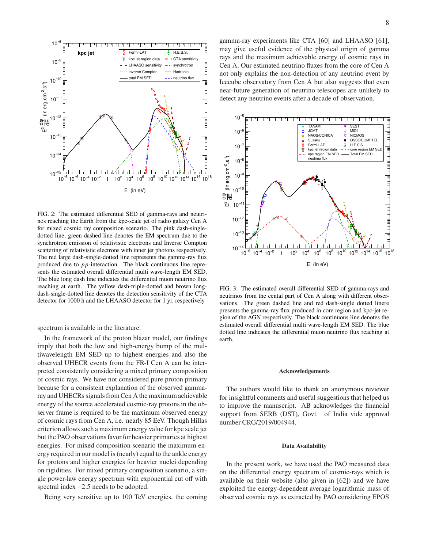

FIG. 2: The estimated differential SED of gamma-rays and neutrinos reaching the Earth from the kpc-scale jet of radio galaxy Cen A for mixed cosmic ray composition scenario. The pink dash-singledotted line, green dashed line denotes the EM spectrum due to the synchrotron emission of relativistic electrons and Inverse Compton scattering of relativistic electrons with inner jet photons respectively. The red large dash-single-dotted line represents the gamma-ray flux produced due to  $pp$ -interaction. The black continuous line represents the estimated overall differential multi wave-length EM SED. The blue long dash line indicates the differential muon neutrino flux reaching at earth. The yellow dash-triple-dotted and brown longdash-single-dotted line denotes the detection sensitivity of the CTA detector for 1000 h and the LHAASO detector for 1 yr, respectively

spectrum is available in the literature.

In the framework of the proton blazar model, our findings imply that both the low and high-energy bump of the multiwavelength EM SED up to highest energies and also the observed UHECR events from the FR-I Cen A can be interpreted consistently considering a mixed primary composition of cosmic rays. We have not considered pure proton primary because for a consistent explanation of the observed gammaray and UHECRs signals from Cen A the maximum achievable energy of the source accelerated cosmic-ray protons in the observer frame is required to be the maximum observed energy of cosmic rays from Cen A, i.e. nearly 85 EeV. Though Hillas criterion allows such a maximum energy value for kpc scale jet but the PAO observations favor for heavier primaries at highest energies. For mixed composition scenario the maximum energy required in our model is (nearly) equal to the ankle energy for protons and higher energies for heavier nuclei depending on rigidities. For mixed primary composition scenario, a single power-law energy spectrum with exponential cut off with spectral index −2.5 needs to be adopted.

Being very sensitive up to 100 TeV energies, the coming

gamma-ray experiments like CTA [60] and LHAASO [61], may give useful evidence of the physical origin of gamma rays and the maximum achievable energy of cosmic rays in Cen A. Our estimated neutrino fluxes from the core of Cen A not only explains the non-detection of any neutrino event by Icecube observatory from Cen A but also suggests that even near-future generation of neutrino telescopes are unlikely to detect any neutrino events after a decade of observation.



FIG. 3: The estimated overall differential SED of gamma-rays and neutrinos from the cental part of Cen A along with different observations. The green dashed line and red dash-single dotted linere presents the gamma-ray flux produced in core region and kpc-jet region of the AGN respectively. The black continuous line denotes the estimated overall differential multi wave-length EM SED. The blue dotted line indicates the differential muon neutrino flux reaching at earth.

### **Acknowledgements**

The authors would like to thank an anonymous reviewer for insightful comments and useful suggestions that helped us to improve the manuscript. AB acknowledges the financial support from SERB (DST), Govt. of India vide approval number CRG/2019/004944.

## **Data Availability**

In the present work, we have used the PAO measured data on the differential energy spectrum of cosmic-rays which is available on their website (also given in [62]) and we have exploited the energy-dependent average logarithmic mass of observed cosmic rays as extracted by PAO considering EPOS